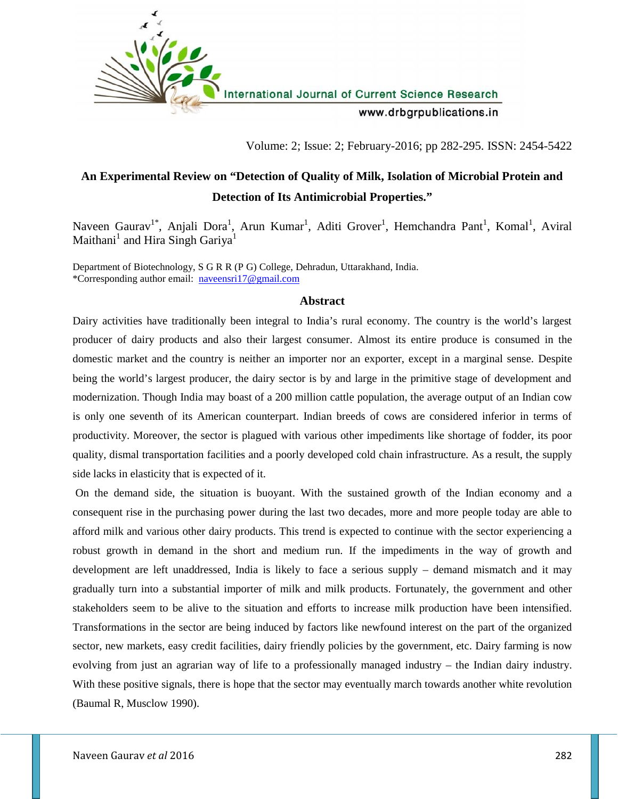

Volume: 2; Issue: 2; February-2016; pp 282-295. ISSN: 2454-5422

# **An Experimental Review on "Detection of Quality of Milk, Isolation of Microbial Protein and Detection of Its Antimicrobial Properties."**

Naveen Gaurav<sup>1\*</sup>, Anjali Dora<sup>1</sup>, Arun Kumar<sup>1</sup>, Aditi Grover<sup>1</sup>, Hemchandra Pant<sup>1</sup>, Komal<sup>1</sup>, Aviral Maithani<sup>1</sup> and Hira Singh Gariya<sup>1</sup>

Department of Biotechnology, S G R R (P G) College, Dehradun, Uttarakhand, India. \*Corresponding author email: naveensri17@gmail.com

#### **Abstract**

Dairy activities have traditionally been integral to India's rural economy. The country is the world's largest producer of dairy products and also their largest consumer. Almost its entire produce is consumed in the domestic market and the country is neither an importer nor an exporter, except in a marginal sense. Despite being the world's largest producer, the dairy sector is by and large in the primitive stage of development and modernization. Though India may boast of a 200 million cattle population, the average output of an Indian cow is only one seventh of its American counterpart. Indian breeds of cows are considered inferior in terms of productivity. Moreover, the sector is plagued with various other impediments like shortage of fodder, its poor quality, dismal transportation facilities and a poorly developed cold chain infrastructure. As a result, the supply side lacks in elasticity that is expected of it.

On the demand side, the situation is buoyant. With the sustained growth of the Indian economy and a consequent rise in the purchasing power during the last two decades, more and more people today are able to afford milk and various other dairy products. This trend is expected to continue with the sector experiencing a robust growth in demand in the short and medium run. If the impediments in the way of growth and development are left unaddressed, India is likely to face a serious supply – demand mismatch and it may gradually turn into a substantial importer of milk and milk products. Fortunately, the government and other stakeholders seem to be alive to the situation and efforts to increase milk production have been intensified. Transformations in the sector are being induced by factors like newfound interest on the part of the organized sector, new markets, easy credit facilities, dairy friendly policies by the government, etc. Dairy farming is now evolving from just an agrarian way of life to a professionally managed industry – the Indian dairy industry. With these positive signals, there is hope that the sector may eventually march towards another white revolution (Baumal R, Musclow 1990).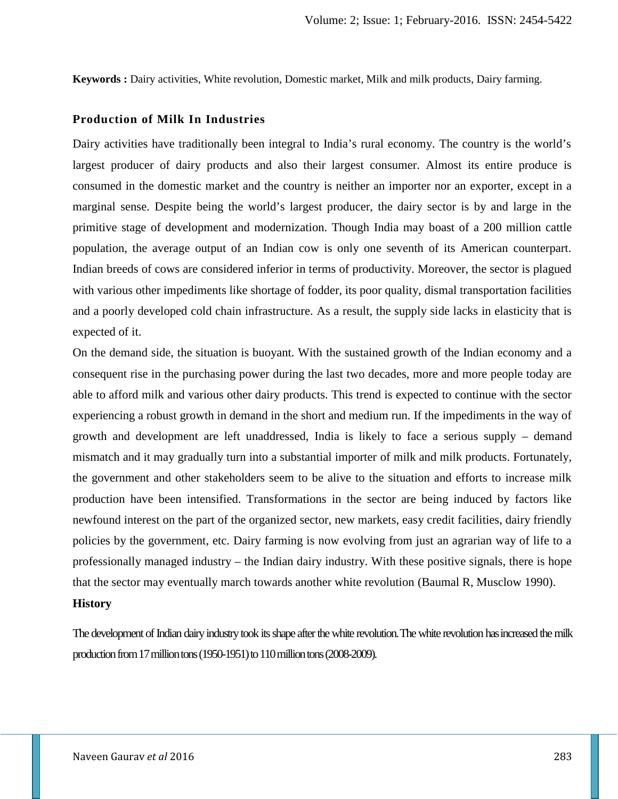**Keywords :** Dairy activities, White revolution, Domestic market, Milk and milk products, Dairy farming.

### **Production of Milk In Industries**

Dairy activities have traditionally been integral to India's rural economy. The country is the world's largest producer of dairy products and also their largest consumer. Almost its entire produce is consumed in the domestic market and the country is neither an importer nor an exporter, except in a marginal sense. Despite being the world's largest producer, the dairy sector is by and large in the primitive stage of development and modernization. Though India may boast of a 200 million cattle population, the average output of an Indian cow is only one seventh of its American counterpart. Indian breeds of cows are considered inferior in terms of productivity. Moreover, the sector is plagued with various other impediments like shortage of fodder, its poor quality, dismal transportation facilities and a poorly developed cold chain infrastructure. As a result, the supply side lacks in elasticity that is expected of it.

On the demand side, the situation is buoyant. With the sustained growth of the Indian economy and a consequent rise in the purchasing power during the last two decades, more and more people today are able to afford milk and various other dairy products. This trend is expected to continue with the sector experiencing a robust growth in demand in the short and medium run. If the impediments in the way of growth and development are left unaddressed, India is likely to face a serious supply – demand mismatch and it may gradually turn into a substantial importer of milk and milk products. Fortunately, the government and other stakeholders seem to be alive to the situation and efforts to increase milk production have been intensified. Transformations in the sector are being induced by factors like newfound interest on the part of the organized sector, new markets, easy credit facilities, dairy friendly policies by the government, etc. Dairy farming is now evolving from just an agrarian way of life to a professionally managed industry – the Indian dairy industry. With these positive signals, there is hope that the sector may eventually march towards another white revolution (Baumal R, Musclow 1990).

### **History**

The development of Indian dairy industry took its shape after the white revolution.The white revolution hasincreased the milk production from17 million tons (1950-1951) to 110 million tons (2008-2009).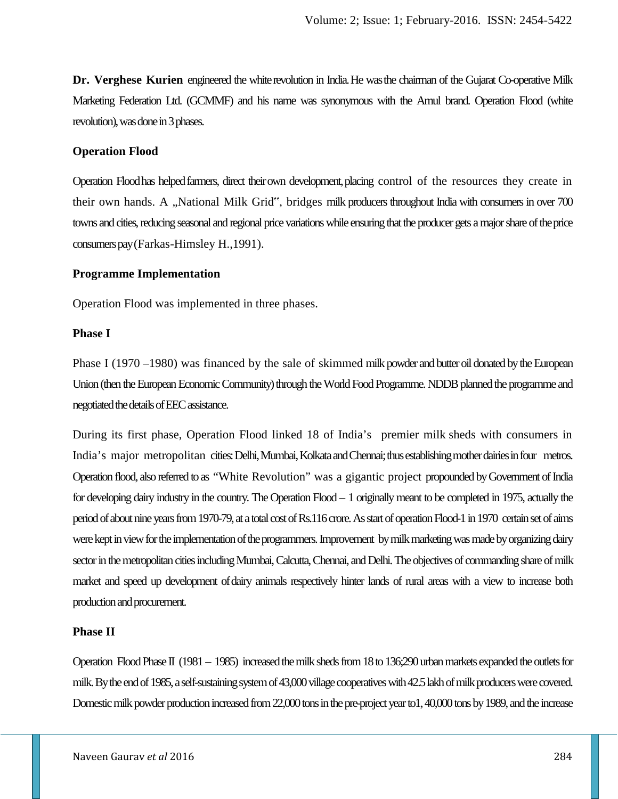**Dr. Verghese Kurien** engineered the whiterevolution in India.He wasthe chairman of the Gujarat Co-operative Milk Marketing Federation Ltd. (GCMMF) and his name was synonymous with the Amul brand. Operation Flood (white revolution), was done in 3 phases.

### **Operation Flood**

Operation Floodhas helpedfarmers, direct theirown development,placing control of the resources they create in their own hands. A "National Milk Grid", bridges milk producers throughout India with consumers in over 700 towns and cities, reducing seasonal and regional price variations while ensuring that the producer gets a major share of theprice consumers pay(Farkas-Himsley H.,1991).

### **Programme Implementation**

Operation Flood was implemented in three phases.

### **Phase I**

Phase I (1970 –1980) was financed by the sale of skimmed milk powder and butter oil donated by the European Union (then the European Economic Community) through the World Food Programme. NDDB planned the programme and negotiated the details ofEEC assistance.

During its first phase, Operation Flood linked 18 of India's premier milk sheds with consumers in India's major metropolitan cities: Delhi, Mumbai, Kolkata and Chennai; thus establishing mother dairies in four metros. Operation flood, also referred to as "White Revolution" was a gigantic project propounded by Government of India for developing dairy industry in the country. The Operation Flood – 1 originally meant to be completed in 1975, actually the period of about nine years from 1970-79, at a total cost of Rs.116 crore. As start of operation Flood-1 in 1970 certain set of aims were kept in view for the implementation of the programmers. Improvement by milk marketing was made by organizing dairy sector in the metropolitan cities including Mumbai, Calcutta, Chennai, and Delhi. The objectives of commanding share of milk market and speed up development ofdairy animals respectively hinter lands of rural areas with a view to increase both production and procurement.

### **Phase II**

Operation Flood Phase II (1981 – 1985) increased the milk sheds from 18 to 136;290 urban markets expanded the outlets for milk. By the end of 1985, a self-sustaining system of 43,000 village cooperatives with 42.5 lakh of milk producers were covered. Domestic milk powder production increased from 22,000 tons in the pre-project year to1, 40,000 tons by 1989, and the increase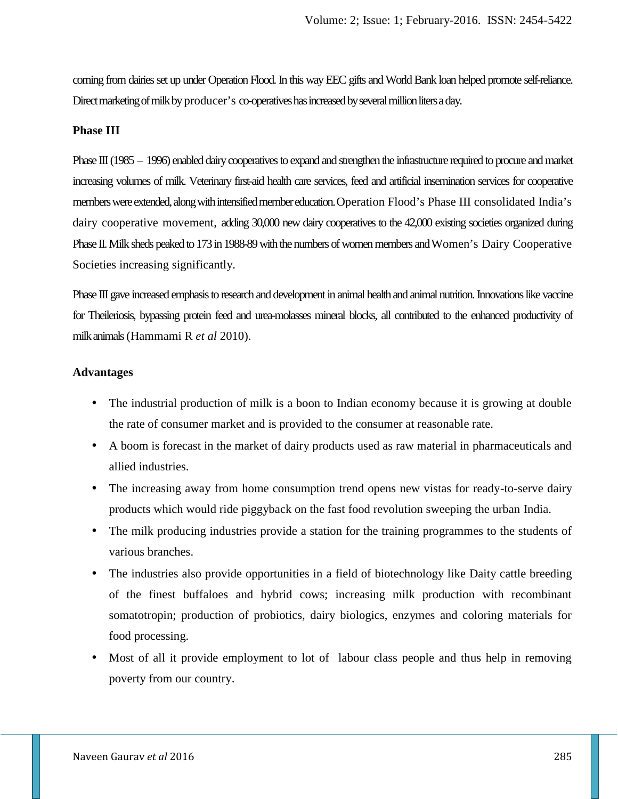coming from dairies set up under Operation Flood. In this way EEC gifts and World Bank loan helped promote self-reliance. Direct marketing of milk by producer's co-operatives has increased by several million liters a day.

### **Phase III**

Phase III (1985 – 1996) enabled dairy cooperatives to expand and strengthen the infrastructure required to procure and market increasing volumes of milk. Veterinary first-aid health care services, feed and artificial insemination services for cooperative members were extended, along with intensified member education.Operation Flood's Phase III consolidated India's dairy cooperative movement, adding 30,000 new dairy cooperatives to the 42,000 existing societies organized during Phase II. Milk sheds peaked to 173 in 1988-89 with the numbers of women members and Women's Dairy Cooperative Societies increasing significantly.

Phase III gave increased emphasis to research and development in animal healthand animal nutrition. Innovations like vaccine for Theileriosis, bypassing protein feed and urea-molasses mineral blocks, all contributed to the enhanced productivity of milkanimals(Hammami R *et al* 2010).

#### **Advantages**

- The industrial production of milk is a boon to Indian economy because it is growing at double the rate of consumer market and is provided to the consumer at reasonable rate.
- A boom is forecast in the market of dairy products used as raw material in pharmaceuticals and allied industries.
- The increasing away from home consumption trend opens new vistas for ready-to-serve dairy products which would ride piggyback on the fast food revolution sweeping the urban India.
- The milk producing industries provide a station for the training programmes to the students of various branches.
- The industries also provide opportunities in a field of biotechnology like Daity cattle breeding of the finest buffaloes and hybrid cows; increasing milk production with recombinant somatotropin; production of probiotics, dairy biologics, enzymes and coloring materials for food processing.
- Most of all it provide employment to lot of labour class people and thus help in removing poverty from our country.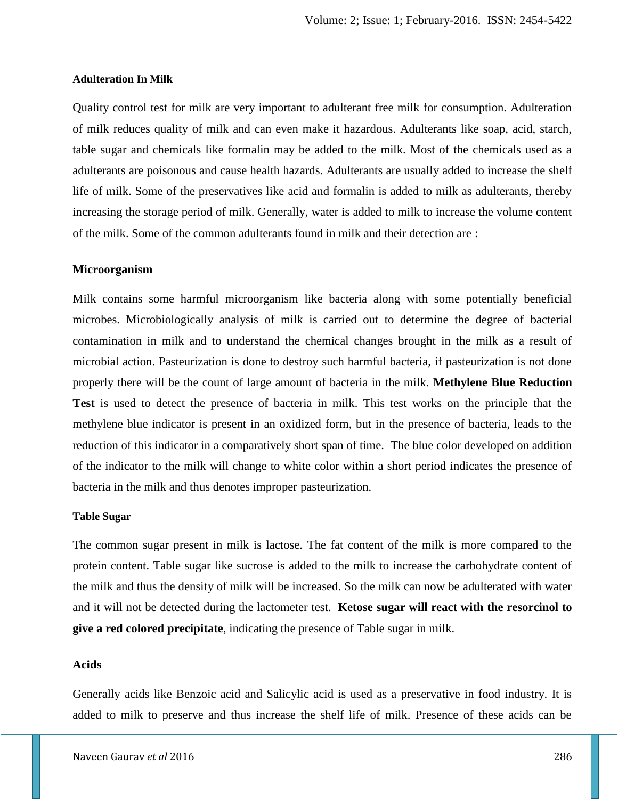#### **Adulteration In Milk**

Quality control test for milk are very important to adulterant free milk for consumption. Adulteration of milk reduces quality of milk and can even make it hazardous. Adulterants like soap, acid, starch, table sugar and chemicals like formalin may be added to the milk. Most of the chemicals used as a adulterants are poisonous and cause health hazards. Adulterants are usually added to increase the shelf life of milk. Some of the preservatives like acid and formalin is added to milk as adulterants, thereby increasing the storage period of milk. Generally, water is added to milk to increase the volume content of the milk. Some of the common adulterants found in milk and their detection are :

#### **Microorganism**

Milk contains some harmful microorganism like bacteria along with some potentially beneficial microbes. Microbiologically analysis of milk is carried out to determine the degree of bacterial contamination in milk and to understand the chemical changes brought in the milk as a result of microbial action. Pasteurization is done to destroy such harmful bacteria, if pasteurization is not done properly there will be the count of large amount of bacteria in the milk. **Methylene Blue Reduction Test** is used to detect the presence of bacteria in milk. This test works on the principle that the methylene blue indicator is present in an oxidized form, but in the presence of bacteria, leads to the reduction of this indicator in a comparatively short span of time. The blue color developed on addition of the indicator to the milk will change to white color within a short period indicates the presence of bacteria in the milk and thus denotes improper pasteurization.

### **Table Sugar**

The common sugar present in milk is lactose. The fat content of the milk is more compared to the protein content. Table sugar like sucrose is added to the milk to increase the carbohydrate content of the milk and thus the density of milk will be increased. So the milk can now be adulterated with water and it will not be detected during the lactometer test. **Ketose sugar will react with the resorcinol to give a red colored precipitate**, indicating the presence of Table sugar in milk.

### **Acids**

Generally acids like Benzoic acid and Salicylic acid is used as a preservative in food industry. It is added to milk to preserve and thus increase the shelf life of milk. Presence of these acids can be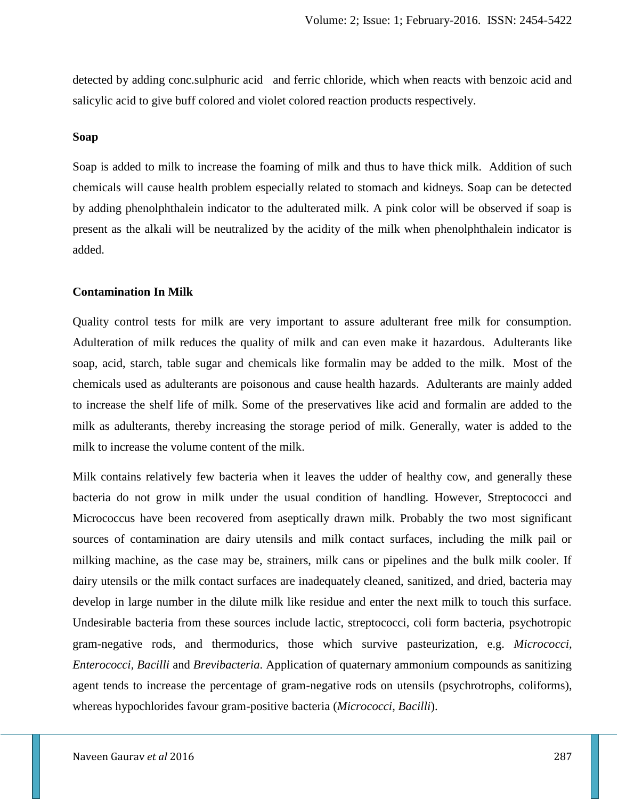detected by adding conc.sulphuric acid and ferric chloride, which when reacts with benzoic acid and salicylic acid to give buff colored and violet colored reaction products respectively.

#### **Soap**

Soap is added to milk to increase the foaming of milk and thus to have thick milk. Addition of such chemicals will cause health problem especially related to stomach and kidneys. Soap can be detected by adding phenolphthalein indicator to the adulterated milk. A pink color will be observed if soap is present as the alkali will be neutralized by the acidity of the milk when phenolphthalein indicator is added.

#### **Contamination In Milk**

Quality control tests for milk are very important to assure adulterant free milk for consumption. Adulteration of milk reduces the quality of milk and can even make it hazardous. Adulterants like soap, acid, starch, table sugar and chemicals like formalin may be added to the milk. Most of the chemicals used as adulterants are poisonous and cause health hazards. Adulterants are mainly added to increase the shelf life of milk. Some of the preservatives like acid and formalin are added to the milk as adulterants, thereby increasing the storage period of milk. Generally, water is added to the milk to increase the volume content of the milk.

Milk contains relatively few bacteria when it leaves the udder of healthy cow, and generally these bacteria do not grow in milk under the usual condition of handling. However, Streptococci and Micrococcus have been recovered from aseptically drawn milk. Probably the two most significant sources of contamination are dairy utensils and milk contact surfaces, including the milk pail or milking machine, as the case may be, strainers, milk cans or pipelines and the bulk milk cooler. If dairy utensils or the milk contact surfaces are inadequately cleaned, sanitized, and dried, bacteria may develop in large number in the dilute milk like residue and enter the next milk to touch this surface. Undesirable bacteria from these sources include lactic, streptococci, coli form bacteria, psychotropic gram-negative rods, and thermodurics, those which survive pasteurization, e.g. *Micrococci, Enterococci, Bacilli* and *Brevibacteria*. Application of quaternary ammonium compounds as sanitizing agent tends to increase the percentage of gram-negative rods on utensils (psychrotrophs, coliforms), whereas hypochlorides favour gram-positive bacteria (*Micrococci, Bacilli*).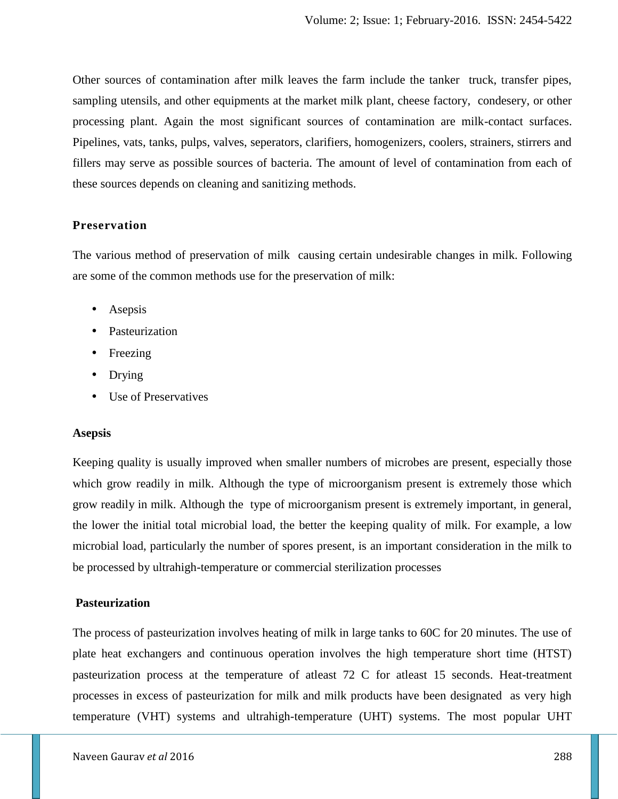Other sources of contamination after milk leaves the farm include the tanker truck, transfer pipes, sampling utensils, and other equipments at the market milk plant, cheese factory, condesery, or other processing plant. Again the most significant sources of contamination are milk-contact surfaces. Pipelines, vats, tanks, pulps, valves, seperators, clarifiers, homogenizers, coolers, strainers, stirrers and fillers may serve as possible sources of bacteria. The amount of level of contamination from each of these sources depends on cleaning and sanitizing methods.

### **Preservation**

The various method of preservation of milk causing certain undesirable changes in milk. Following are some of the common methods use for the preservation of milk:

- Asepsis
- Pasteurization
- Freezing
- Drying
- Use of Preservatives

### **Asepsis**

Keeping quality is usually improved when smaller numbers of microbes are present, especially those which grow readily in milk. Although the type of microorganism present is extremely those which grow readily in milk. Although the type of microorganism present is extremely important, in general, the lower the initial total microbial load, the better the keeping quality of milk. For example, a low microbial load, particularly the number of spores present, is an important consideration in the milk to be processed by ultrahigh-temperature or commercial sterilization processes

#### **Pasteurization**

The process of pasteurization involves heating of milk in large tanks to 60C for 20 minutes. The use of plate heat exchangers and continuous operation involves the high temperature short time (HTST) pasteurization process at the temperature of atleast 72 C for atleast 15 seconds. Heat-treatment processes in excess of pasteurization for milk and milk products have been designated as very high temperature (VHT) systems and ultrahigh-temperature (UHT) systems. The most popular UHT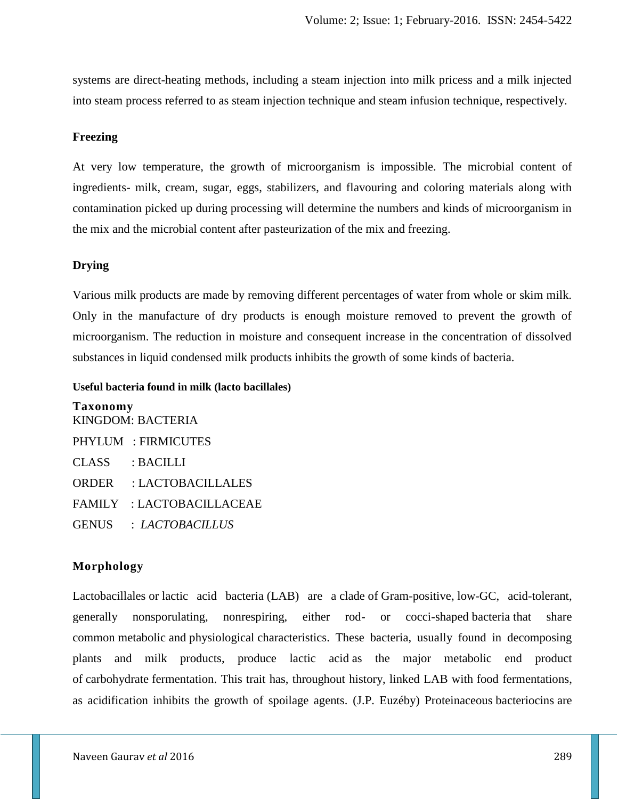systems are direct-heating methods, including a steam injection into milk pricess and a milk injected into steam process referred to as steam injection technique and steam infusion technique, respectively.

### **Freezing**

At very low temperature, the growth of microorganism is impossible. The microbial content of ingredients- milk, cream, sugar, eggs, stabilizers, and flavouring and coloring materials along with contamination picked up during processing will determine the numbers and kinds of microorganism in the mix and the microbial content after pasteurization of the mix and freezing.

### **Drying**

Various milk products are made by removing different percentages of water from whole or skim milk. Only in the manufacture of dry products is enough moisture removed to prevent the growth of microorganism. The reduction in moisture and consequent increase in the concentration of dissolved substances in liquid condensed milk products inhibits the growth of some kinds of bacteria.

#### **Useful bacteria found in milk (lacto bacillales)**

**Taxonomy** KINGDOM: BACTERIA PHYLUM : FIRMICUTES CLASS : BACILLI ORDER : LACTOBACILLALES FAMILY : LACTOBACILLACEAE GENUS : *LACTOBACILLUS*

### **Morphology**

Lactobacillales or lactic acid bacteria (LAB) are a clade of Gram-positive, low-GC, acid-tolerant, generally nonsporulating, nonrespiring, either rod- or cocci-shaped bacteria that share common metabolic and physiological characteristics. These bacteria, usually found in decomposing plants and milk products, produce lactic acid as the major metabolic end product of carbohydrate fermentation. This trait has, throughout history, linked LAB with food fermentations, as acidification inhibits the growth of spoilage agents. (J.P. Euzéby) Proteinaceous bacteriocins are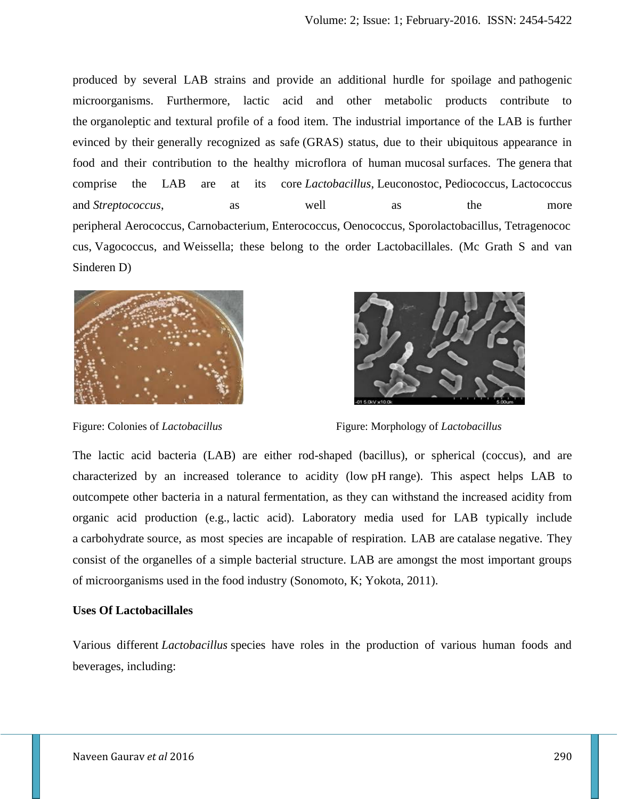produced by several LAB strains and provide an additional hurdle for spoilage and pathogenic microorganisms. Furthermore, lactic acid and other metabolic products contribute to the organoleptic and textural profile of a food item. The industrial importance of the LAB is further evinced by their generally recognized as safe (GRAS) status, due to their ubiquitous appearance in food and their contribution to the healthy microflora of human mucosal surfaces. The genera that comprise the LAB are at its core *Lactobacillus*, Leuconostoc, Pediococcus, Lactococcus and *Streptococcus*, as well as the more peripheral Aerococcus, Carnobacterium, Enterococcus, Oenococcus, Sporolactobacillus, Tetragenococ cus, Vagococcus, and Weissella; these belong to the order Lactobacillales. (Mc Grath S and van Sinderen D)



Figure: Colonies of *Lactobacillus* Figure: Morphology of *Lactobacillus*

The lactic acid bacteria (LAB) are either rod-shaped (bacillus), or spherical (coccus), and are characterized by an increased tolerance to acidity (low pH range). This aspect helps LAB to outcompete other bacteria in a natural fermentation, as they can withstand the increased acidity from organic acid production (e.g., lactic acid). Laboratory media used for LAB typically include a carbohydrate source, as most species are incapable of respiration. LAB are catalase negative. They consist of the organelles of a simple bacterial structure. LAB are amongst the most important groups of microorganisms used in the food industry (Sonomoto, K; Yokota, 2011).

### **Uses Of Lactobacillales**

Various different *Lactobacillus* species have roles in the production of various human foods and beverages, including: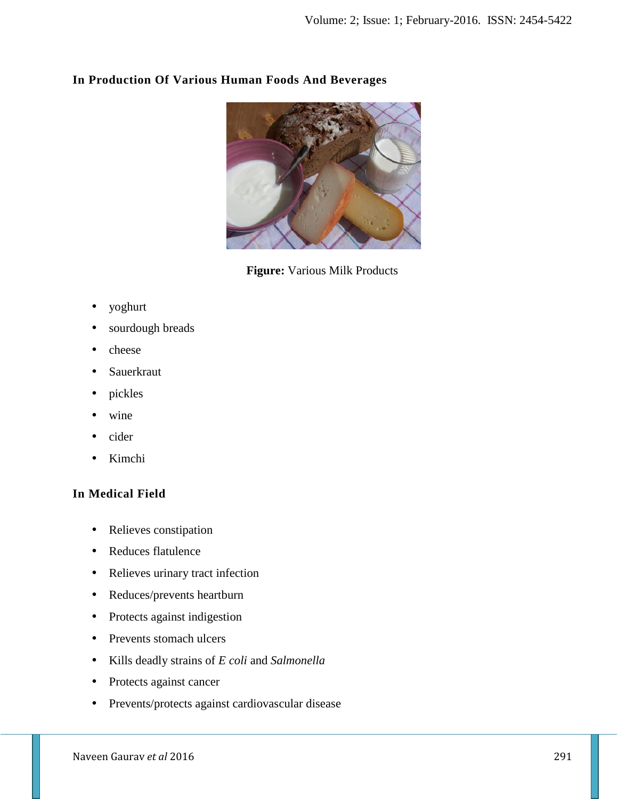

## **In Production Of Various Human Foods And Beverages**

**Figure:** Various Milk Products

- yoghurt
- sourdough breads
- cheese
- Sauerkraut
- pickles
- wine
- cider
- Kimchi

# **In Medical Field**

- Relieves constipation
- Reduces flatulence
- Relieves urinary tract infection
- Reduces/prevents heartburn
- Protects against indigestion
- Prevents stomach ulcers
- Kills deadly strains of *E coli* and *Salmonella*
- Protects against cancer
- Prevents/protects against cardiovascular disease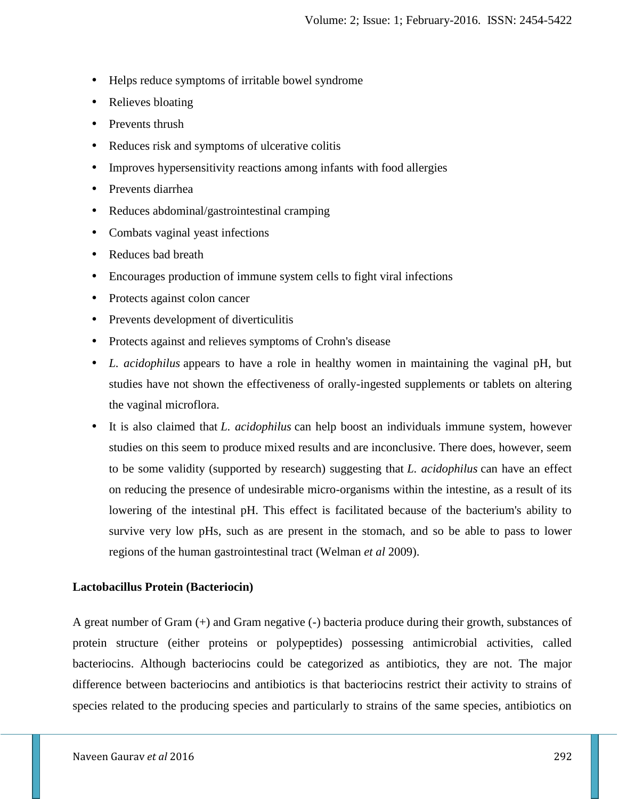- Helps reduce symptoms of irritable bowel syndrome
- Relieves bloating
- Prevents thrush
- Reduces risk and symptoms of ulcerative colitis
- Improves hypersensitivity reactions among infants with food allergies
- Prevents diarrhea
- Reduces abdominal/gastrointestinal cramping
- Combats vaginal yeast infections
- Reduces bad breath
- Encourages production of immune system cells to fight viral infections
- Protects against colon cancer
- Prevents development of diverticulitis
- Protects against and relieves symptoms of Crohn's disease
- *L. acidophilus* appears to have a role in healthy women in maintaining the vaginal pH, but studies have not shown the effectiveness of orally-ingested supplements or tablets on altering the vaginal microflora.
- It is also claimed that *L. acidophilus* can help boost an individuals immune system, however studies on this seem to produce mixed results and are inconclusive. There does, however, seem to be some validity (supported by research) suggesting that *L. acidophilus* can have an effect on reducing the presence of undesirable micro-organisms within the intestine, as a result of its lowering of the intestinal pH. This effect is facilitated because of the bacterium's ability to survive very low pHs, such as are present in the stomach, and so be able to pass to lower regions of the human gastrointestinal tract (Welman *et al* 2009).

### **Lactobacillus Protein (Bacteriocin)**

A great number of Gram (+) and Gram negative (-) bacteria produce during their growth, substances of protein structure (either proteins or polypeptides) possessing antimicrobial activities, called bacteriocins. Although bacteriocins could be categorized as antibiotics, they are not. The major difference between bacteriocins and antibiotics is that bacteriocins restrict their activity to strains of species related to the producing species and particularly to strains of the same species, antibiotics on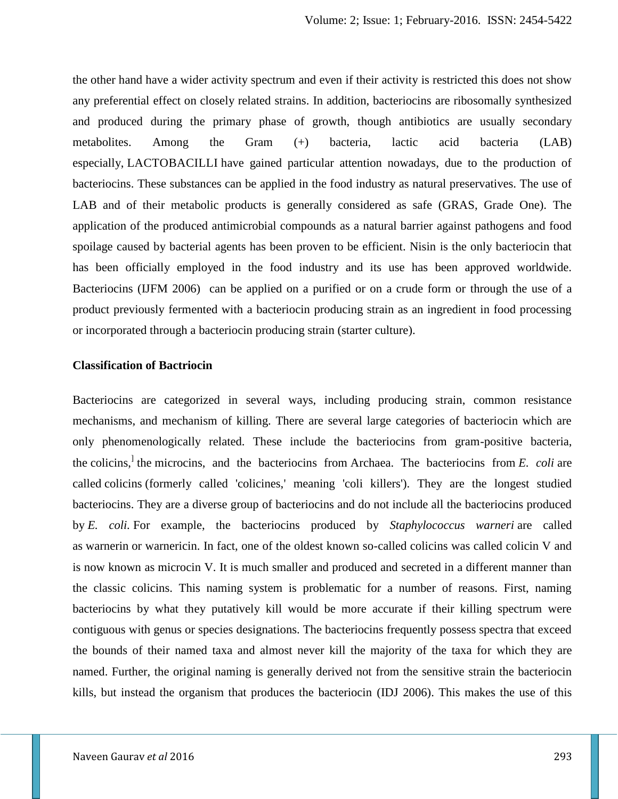the other hand have a wider activity spectrum and even if their activity is restricted this does not show any preferential effect on closely related strains. In addition, bacteriocins are ribosomally synthesized and produced during the primary phase of growth, though antibiotics are usually secondary metabolites. Among the Gram (+) bacteria, lactic acid bacteria (LAB) especially, LACTOBACILLI have gained particular attention nowadays, due to the production of bacteriocins. These substances can be applied in the food industry as natural preservatives. The use of LAB and of their metabolic products is generally considered as safe (GRAS, Grade One). The application of the produced antimicrobial compounds as a natural barrier against pathogens and food spoilage caused by bacterial agents has been proven to be efficient. Nisin is the only bacteriocin that has been officially employed in the food industry and its use has been approved worldwide. Bacteriocins (IJFM 2006) can be applied on a purified or on a crude form or through the use of a product previously fermented with a bacteriocin producing strain as an ingredient in food processing or incorporated through a bacteriocin producing strain (starter culture).

### **Classification of Bactriocin**

Bacteriocins are categorized in several ways, including producing strain, common resistance mechanisms, and mechanism of killing. There are several large categories of bacteriocin which are only phenomenologically related. These include the bacteriocins from gram-positive bacteria, the colicins, ] the microcins, and the bacteriocins from Archaea. The bacteriocins from *E. coli* are called colicins (formerly called 'colicines,' meaning 'coli killers'). They are the longest studied bacteriocins. They are a diverse group of bacteriocins and do not include all the bacteriocins produced by *E. coli.* For example, the bacteriocins produced by *Staphylococcus warneri* are called as warnerin or warnericin. In fact, one of the oldest known so-called colicins was called colicin V and is now known as microcin V. It is much smaller and produced and secreted in a different manner than the classic colicins. This naming system is problematic for a number of reasons. First, naming bacteriocins by what they putatively kill would be more accurate if their killing spectrum were contiguous with genus or species designations. The bacteriocins frequently possess spectra that exceed the bounds of their named taxa and almost never kill the majority of the taxa for which they are named. Further, the original naming is generally derived not from the sensitive strain the bacteriocin kills, but instead the organism that produces the bacteriocin (IDJ 2006). This makes the use of this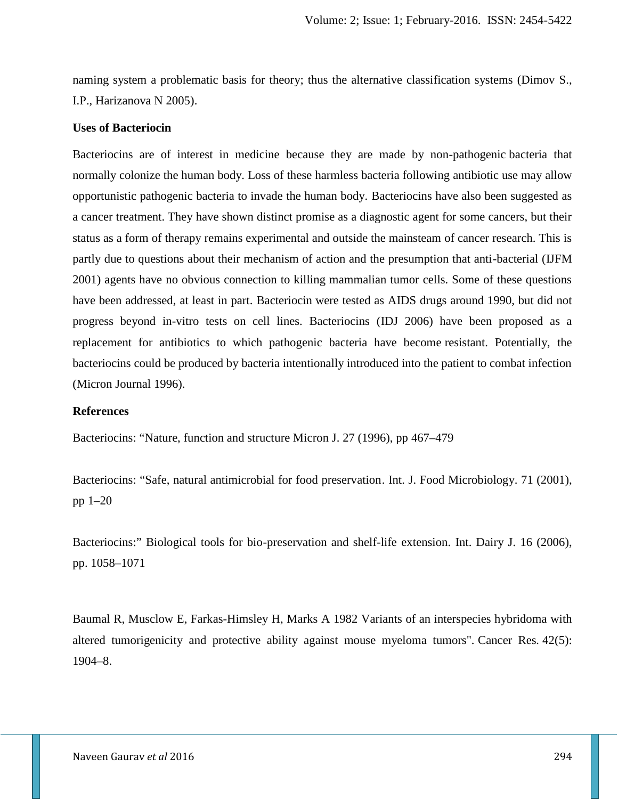naming system a problematic basis for theory; thus the alternative classification systems (Dimov S., I.P., Harizanova N 2005).

#### **Uses of Bacteriocin**

Bacteriocins are of interest in medicine because they are made by non-pathogenic bacteria that normally colonize the human body. Loss of these harmless bacteria following antibiotic use may allow opportunistic pathogenic bacteria to invade the human body. Bacteriocins have also been suggested as a cancer treatment. They have shown distinct promise as a diagnostic agent for some cancers, but their status as a form of therapy remains experimental and outside the mainsteam of cancer research. This is partly due to questions about their mechanism of action and the presumption that anti-bacterial (IJFM 2001) agents have no obvious connection to killing mammalian tumor cells. Some of these questions have been addressed, at least in part. Bacteriocin were tested as AIDS drugs around 1990, but did not progress beyond in-vitro tests on cell lines. Bacteriocins (IDJ 2006) have been proposed as a replacement for antibiotics to which pathogenic bacteria have become resistant. Potentially, the bacteriocins could be produced by bacteria intentionally introduced into the patient to combat infection (Micron Journal 1996).

### **References**

Bacteriocins: "Nature, function and structure Micron J. 27 (1996), pp 467–479

Bacteriocins: "Safe, natural antimicrobial for food preservation. Int. J. Food Microbiology. 71 (2001), pp 1–20

Bacteriocins:" Biological tools for bio-preservation and shelf-life extension. Int. Dairy J. 16 (2006), pp. 1058–1071

Baumal R, Musclow E, Farkas-Himsley H, Marks A 1982 Variants of an interspecies hybridoma with altered tumorigenicity and protective ability against mouse myeloma tumors". Cancer Res*.* 42(5): 1904–8.